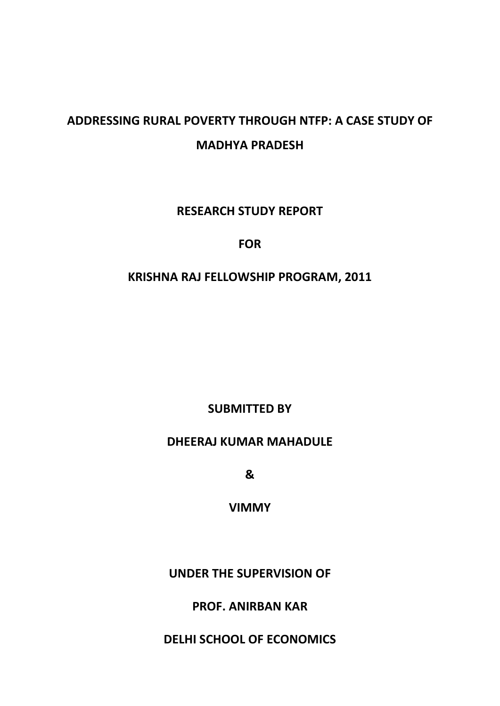# **ADDRESSING RURAL POVERTY THROUGH NTFP: A CASE STUDY OF MADHYA PRADESH**

**RESEARCH STUDY REPORT**

# **FOR**

# **KRISHNA RAJ FELLOWSHIP PROGRAM, 2011**

**SUBMITTED BY**

# **DHEERAJ KUMAR MAHADULE**

**&**

**VIMMY**

**UNDER THE SUPERVISION OF**

**PROF. ANIRBAN KAR**

**DELHI SCHOOL OF ECONOMICS**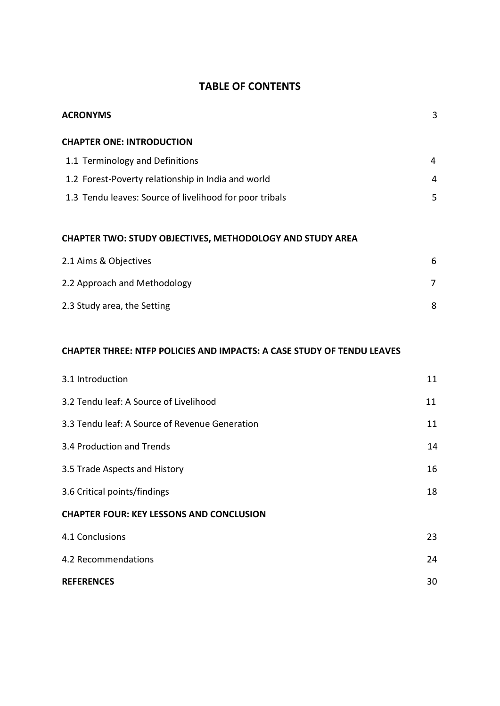## **TABLE OF CONTENTS**

| <b>ACRONYMS</b>                                                               | 3              |
|-------------------------------------------------------------------------------|----------------|
| <b>CHAPTER ONE: INTRODUCTION</b>                                              |                |
| 1.1 Terminology and Definitions                                               | 4              |
| 1.2 Forest-Poverty relationship in India and world                            | $\overline{4}$ |
| 1.3 Tendu leaves: Source of livelihood for poor tribals                       | 5              |
| CHAPTER TWO: STUDY OBJECTIVES, METHODOLOGY AND STUDY AREA                     |                |
| 2.1 Aims & Objectives                                                         | 6              |
| 2.2 Approach and Methodology                                                  | 7              |
| 2.3 Study area, the Setting                                                   | 8              |
|                                                                               |                |
| <b>CHAPTER THREE: NTFP POLICIES AND IMPACTS: A CASE STUDY OF TENDU LEAVES</b> |                |
| 3.1 Introduction                                                              | 11             |
| 3.2 Tendu leaf: A Source of Livelihood                                        | 11             |
| 3.3 Tendu leaf: A Source of Revenue Generation                                | 11             |
| 3.4 Production and Trends                                                     | 14             |
| 3.5 Trade Aspects and History                                                 | 16             |
| 3.6 Critical points/findings                                                  | 18             |
| <b>CHAPTER FOUR: KEY LESSONS AND CONCLUSION</b>                               |                |
| 4.1 Conclusions                                                               | 23             |
| 4.2 Recommendations                                                           | 24             |
| <b>REFERENCES</b>                                                             | 30             |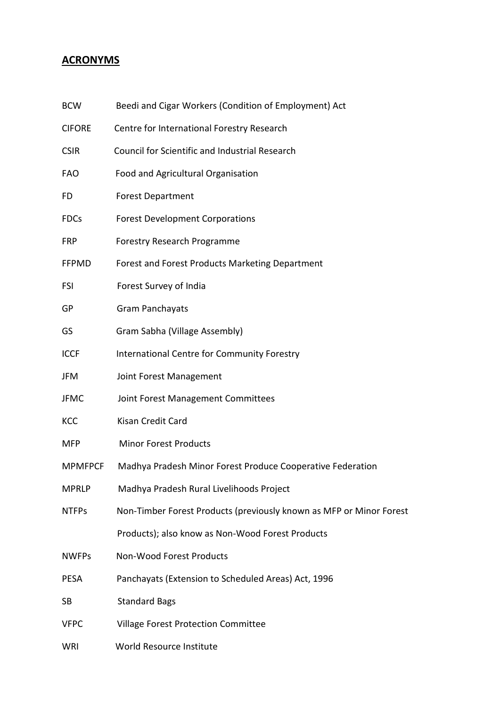# **ACRONYMS**

| <b>BCW</b>     | Beedi and Cigar Workers (Condition of Employment) Act               |
|----------------|---------------------------------------------------------------------|
| <b>CIFORE</b>  | Centre for International Forestry Research                          |
| <b>CSIR</b>    | <b>Council for Scientific and Industrial Research</b>               |
| <b>FAO</b>     | Food and Agricultural Organisation                                  |
| FD             | <b>Forest Department</b>                                            |
| <b>FDCs</b>    | <b>Forest Development Corporations</b>                              |
| <b>FRP</b>     | Forestry Research Programme                                         |
| <b>FFPMD</b>   | Forest and Forest Products Marketing Department                     |
| <b>FSI</b>     | Forest Survey of India                                              |
| GP             | <b>Gram Panchayats</b>                                              |
| GS             | Gram Sabha (Village Assembly)                                       |
| <b>ICCF</b>    | International Centre for Community Forestry                         |
| <b>JFM</b>     | Joint Forest Management                                             |
| <b>JFMC</b>    | Joint Forest Management Committees                                  |
| KCC            | Kisan Credit Card                                                   |
| <b>MFP</b>     | <b>Minor Forest Products</b>                                        |
| <b>MPMFPCF</b> | Madhya Pradesh Minor Forest Produce Cooperative Federation          |
| <b>MPRLP</b>   | Madhya Pradesh Rural Livelihoods Project                            |
| <b>NTFPs</b>   | Non-Timber Forest Products (previously known as MFP or Minor Forest |
|                | Products); also know as Non-Wood Forest Products                    |
| <b>NWFPs</b>   | Non-Wood Forest Products                                            |
| <b>PESA</b>    | Panchayats (Extension to Scheduled Areas) Act, 1996                 |
| <b>SB</b>      | <b>Standard Bags</b>                                                |
| <b>VFPC</b>    | Village Forest Protection Committee                                 |
| WRI            | World Resource Institute                                            |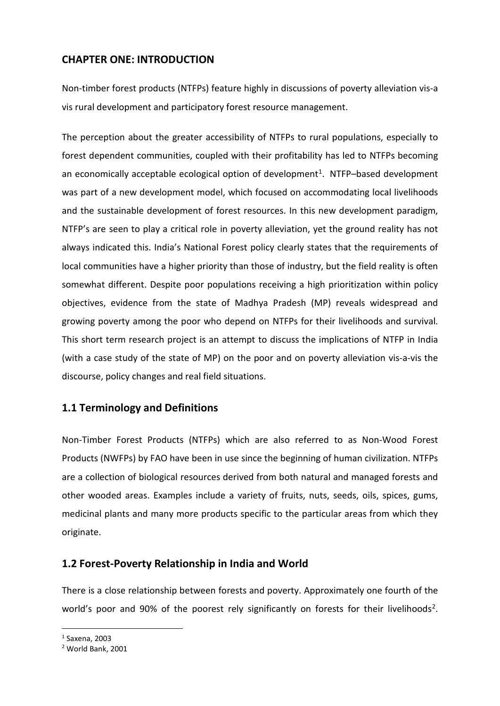## **CHAPTER ONE: INTRODUCTION**

Non-timber forest products (NTFPs) feature highly in discussions of poverty alleviation vis-a vis rural development and participatory forest resource management.

The perception about the greater accessibility of NTFPs to rural populations, especially to forest dependent communities, coupled with their profitability has led to NTFPs becoming an economically acceptable ecological option of development<sup>1</sup>. NTFP–based development was part of a new development model, which focused on accommodating local livelihoods and the sustainable development of forest resources. In this new development paradigm, NTFP's are seen to play a critical role in poverty alleviation, yet the ground reality has not always indicated this. India's National Forest policy clearly states that the requirements of local communities have a higher priority than those of industry, but the field reality is often somewhat different. Despite poor populations receiving a high prioritization within policy objectives, evidence from the state of Madhya Pradesh (MP) reveals widespread and growing poverty among the poor who depend on NTFPs for their livelihoods and survival. This short term research project is an attempt to discuss the implications of NTFP in India (with a case study of the state of MP) on the poor and on poverty alleviation vis-a-vis the discourse, policy changes and real field situations.

# **1.1 Terminology and Definitions**

Non-Timber Forest Products (NTFPs) which are also referred to as Non-Wood Forest Products (NWFPs) by FAO have been in use since the beginning of human civilization. NTFPs are a collection of biological resources derived from both natural and managed forests and other wooded areas. Examples include a variety of fruits, nuts, seeds, oils, spices, gums, medicinal plants and many more products specific to the particular areas from which they originate.

### **1.2 Forest-Poverty Relationship in India and World**

There is a close relationship between forests and poverty. Approximately one fourth of the world's poor and 90% of the poorest rely significantly on forests for their livelihoods<sup>2</sup>.

<span id="page-3-0"></span> <sup>1</sup> Saxena, 2003

<span id="page-3-1"></span><sup>2</sup> World Bank, 2001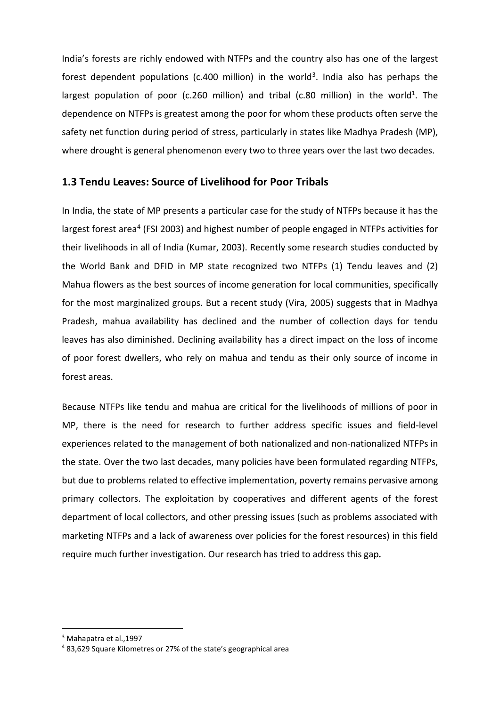India's forests are richly endowed with NTFPs and the country also has one of the largest forest dependent populations (c.400 million) in the world<sup>3</sup>. India also has perhaps the largest population of poor (c.260 million) and tribal (c.80 million) in the world<sup>1</sup>. The dependence on NTFPs is greatest among the poor for whom these products often serve the safety net function during period of stress, particularly in states like Madhya Pradesh (MP), where drought is general phenomenon every two to three years over the last two decades.

### **1.3 Tendu Leaves: Source of Livelihood for Poor Tribals**

In India, the state of MP presents a particular case for the study of NTFPs because it has the largest forest area<sup>4</sup> (FSI 2003) and highest number of people engaged in NTFPs activities for their livelihoods in all of India (Kumar, 2003). Recently some research studies conducted by the World Bank and DFID in MP state recognized two NTFPs (1) Tendu leaves and (2) Mahua flowers as the best sources of income generation for local communities, specifically for the most marginalized groups. But a recent study (Vira, 2005) suggests that in Madhya Pradesh, mahua availability has declined and the number of collection days for tendu leaves has also diminished. Declining availability has a direct impact on the loss of income of poor forest dwellers, who rely on mahua and tendu as their only source of income in forest areas.

Because NTFPs like tendu and mahua are critical for the livelihoods of millions of poor in MP, there is the need for research to further address specific issues and field-level experiences related to the management of both nationalized and non-nationalized NTFPs in the state. Over the two last decades, many policies have been formulated regarding NTFPs, but due to problems related to effective implementation, poverty remains pervasive among primary collectors. The exploitation by cooperatives and different agents of the forest department of local collectors, and other pressing issues (such as problems associated with marketing NTFPs and a lack of awareness over policies for the forest resources) in this field require much further investigation. Our research has tried to address this gap*.*

<span id="page-4-0"></span> <sup>3</sup> Mahapatra et al.,1997

<span id="page-4-1"></span><sup>4</sup> 83,629 Square Kilometres or 27% of the state's geographical area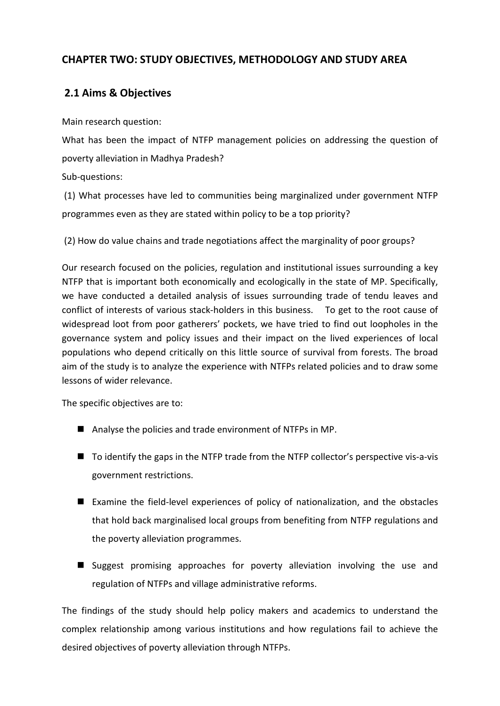## **CHAPTER TWO: STUDY OBJECTIVES, METHODOLOGY AND STUDY AREA**

# **2.1 Aims & Objectives**

Main research question:

What has been the impact of NTFP management policies on addressing the question of poverty alleviation in Madhya Pradesh?

Sub-questions:

(1) What processes have led to communities being marginalized under government NTFP programmes even as they are stated within policy to be a top priority?

(2) How do value chains and trade negotiations affect the marginality of poor groups?

Our research focused on the policies, regulation and institutional issues surrounding a key NTFP that is important both economically and ecologically in the state of MP. Specifically, we have conducted a detailed analysis of issues surrounding trade of tendu leaves and conflict of interests of various stack-holders in this business. To get to the root cause of widespread loot from poor gatherers' pockets, we have tried to find out loopholes in the governance system and policy issues and their impact on the lived experiences of local populations who depend critically on this little source of survival from forests. The broad aim of the study is to analyze the experience with NTFPs related policies and to draw some lessons of wider relevance.

The specific objectives are to:

- Analyse the policies and trade environment of NTFPs in MP.
- To identify the gaps in the NTFP trade from the NTFP collector's perspective vis-a-vis government restrictions.
- Examine the field-level experiences of policy of nationalization, and the obstacles that hold back marginalised local groups from benefiting from NTFP regulations and the poverty alleviation programmes.
- Suggest promising approaches for poverty alleviation involving the use and regulation of NTFPs and village administrative reforms.

The findings of the study should help policy makers and academics to understand the complex relationship among various institutions and how regulations fail to achieve the desired objectives of poverty alleviation through NTFPs.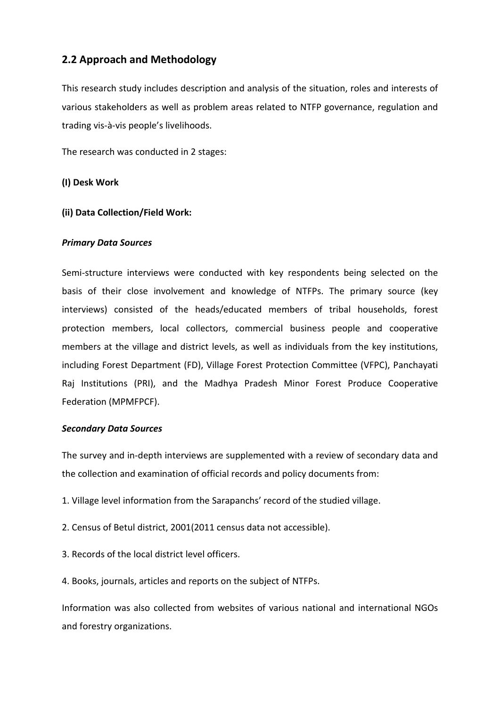## **2.2 Approach and Methodology**

This research study includes description and analysis of the situation, roles and interests of various stakeholders as well as problem areas related to NTFP governance, regulation and trading vis-à-vis people's livelihoods.

The research was conducted in 2 stages:

### **(I) Desk Work**

### **(ii) Data Collection/Field Work:**

#### *Primary Data Sources*

Semi-structure interviews were conducted with key respondents being selected on the basis of their close involvement and knowledge of NTFPs. The primary source (key interviews) consisted of the heads/educated members of tribal households, forest protection members, local collectors, commercial business people and cooperative members at the village and district levels, as well as individuals from the key institutions, including Forest Department (FD), Village Forest Protection Committee (VFPC), Panchayati Raj Institutions (PRI), and the Madhya Pradesh Minor Forest Produce Cooperative Federation (MPMFPCF).

#### *Secondary Data Sources*

The survey and in-depth interviews are supplemented with a review of secondary data and the collection and examination of official records and policy documents from:

- 1. Village level information from the Sarapanchs' record of the studied village.
- 2. Census of Betul district, 2001(2011 census data not accessible).
- 3. Records of the local district level officers.
- 4. Books, journals, articles and reports on the subject of NTFPs.

Information was also collected from websites of various national and international NGOs and forestry organizations.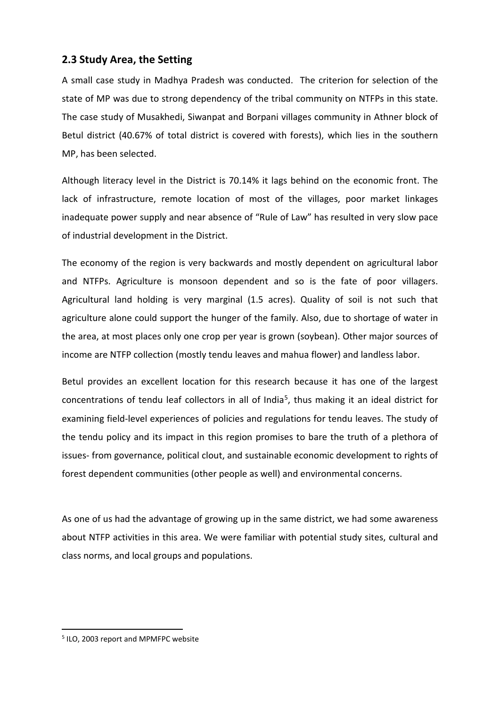### **2.3 Study Area, the Setting**

A small case study in Madhya Pradesh was conducted. The criterion for selection of the state of MP was due to strong dependency of the tribal community on NTFPs in this state. The case study of Musakhedi, Siwanpat and Borpani villages community in Athner block of Betul district (40.67% of total district is covered with forests), which lies in the southern MP, has been selected.

Although literacy level in the District is 70.14% it lags behind on the economic front. The lack of infrastructure, remote location of most of the villages, poor market linkages inadequate power supply and near absence of "Rule of Law" has resulted in very slow pace of industrial development in the District.

The economy of the region is very backwards and mostly dependent on agricultural labor and NTFPs. Agriculture is monsoon dependent and so is the fate of poor villagers. Agricultural land holding is very marginal (1.5 acres). Quality of soil is not such that agriculture alone could support the hunger of the family. Also, due to shortage of water in the area, at most places only one crop per year is grown (soybean). Other major sources of income are NTFP collection (mostly tendu leaves and mahua flower) and landless labor.

Betul provides an excellent location for this research because it has one of the largest concentrations of tendu leaf collectors in all of India<sup>5</sup>, thus making it an ideal district for examining field-level experiences of policies and regulations for tendu leaves. The study of the tendu policy and its impact in this region promises to bare the truth of a plethora of issues- from governance, political clout, and sustainable economic development to rights of forest dependent communities (other people as well) and environmental concerns.

As one of us had the advantage of growing up in the same district, we had some awareness about NTFP activities in this area. We were familiar with potential study sites, cultural and class norms, and local groups and populations.

<span id="page-7-0"></span> <sup>5</sup> ILO, 2003 report and MPMFPC website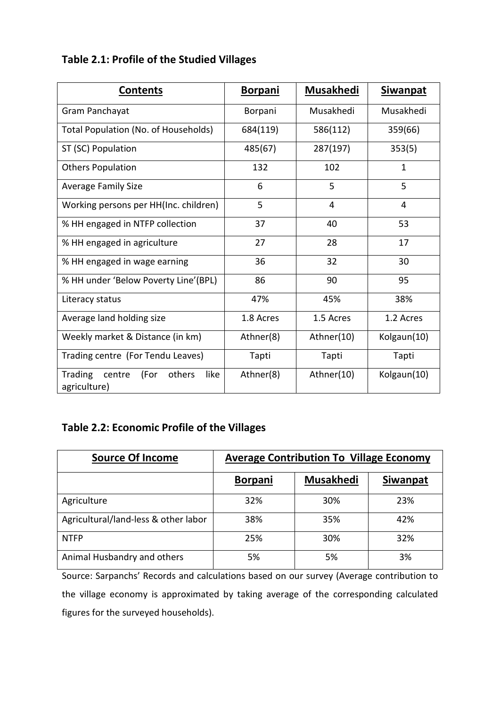# **Table 2.1: Profile of the Studied Villages**

| <b>Contents</b>                                             | <b>Borpani</b> | <b>Musakhedi</b> | <b>Siwanpat</b> |
|-------------------------------------------------------------|----------------|------------------|-----------------|
| Gram Panchayat                                              | Borpani        | Musakhedi        | Musakhedi       |
| Total Population (No. of Households)                        | 684(119)       | 586(112)         | 359(66)         |
| ST (SC) Population                                          | 485(67)        | 287(197)         | 353(5)          |
| <b>Others Population</b>                                    | 132            | 102              | $\mathbf{1}$    |
| <b>Average Family Size</b>                                  | 6              | 5                | 5               |
| Working persons per HH(Inc. children)                       | 5              | 4                | 4               |
| % HH engaged in NTFP collection                             | 37             | 40               | 53              |
| % HH engaged in agriculture                                 | 27             | 28               | 17              |
| % HH engaged in wage earning                                | 36             | 32               | 30              |
| % HH under 'Below Poverty Line'(BPL)                        | 86             | 90               | 95              |
| Literacy status                                             | 47%            | 45%              | 38%             |
| Average land holding size                                   | 1.8 Acres      | 1.5 Acres        | 1.2 Acres       |
| Weekly market & Distance (in km)                            | Athner(8)      | Athner(10)       | Kolgaun(10)     |
| Trading centre (For Tendu Leaves)                           | Tapti          | Tapti            | Tapti           |
| others<br>like<br>Trading<br>(For<br>centre<br>agriculture) | Athner(8)      | Athner(10)       | Kolgaun(10)     |

# **Table 2.2: Economic Profile of the Villages**

| <b>Source Of Income</b>              | <b>Average Contribution To Village Economy</b> |                  |                 |
|--------------------------------------|------------------------------------------------|------------------|-----------------|
|                                      | <b>Borpani</b>                                 | <b>Musakhedi</b> | <b>Siwanpat</b> |
| Agriculture                          | 32%                                            | 30%              | 23%             |
| Agricultural/land-less & other labor | 38%                                            | 35%              | 42%             |
| <b>NTFP</b>                          | 25%                                            | 30%              | 32%             |
| Animal Husbandry and others          | 5%                                             | 5%               | 3%              |

Source: Sarpanchs' Records and calculations based on our survey (Average contribution to the village economy is approximated by taking average of the corresponding calculated figures for the surveyed households).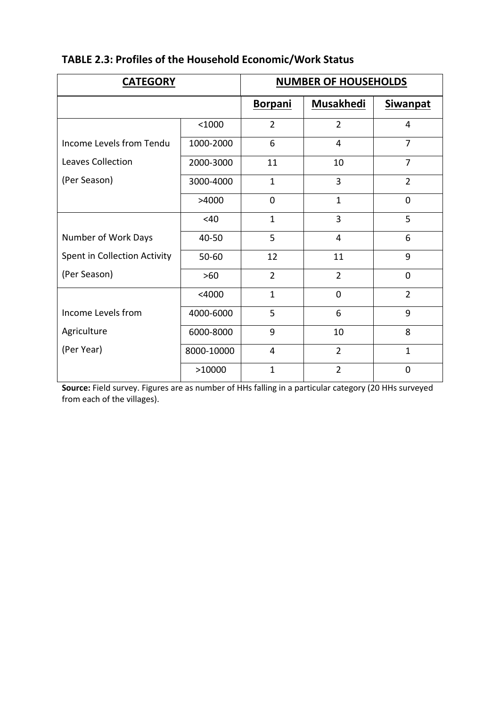| <b>CATEGORY</b>              |            | <b>NUMBER OF HOUSEHOLDS</b> |                  |                 |  |
|------------------------------|------------|-----------------------------|------------------|-----------------|--|
|                              |            | <b>Borpani</b>              | <b>Musakhedi</b> | <b>Siwanpat</b> |  |
|                              | < 1000     | $\overline{2}$              | $\overline{2}$   | $\overline{4}$  |  |
| Income Levels from Tendu     | 1000-2000  | 6                           | 4                | $\overline{7}$  |  |
| <b>Leaves Collection</b>     | 2000-3000  | 11                          | 10               | $\overline{7}$  |  |
| (Per Season)                 | 3000-4000  | $\mathbf{1}$                | $\overline{3}$   | $\overline{2}$  |  |
|                              | >4000      | $\overline{0}$              | $\mathbf{1}$     | $\overline{0}$  |  |
|                              | <40        | $\mathbf{1}$                | $\overline{3}$   | 5               |  |
| Number of Work Days          | 40-50      | 5                           | 4                | 6               |  |
| Spent in Collection Activity | $50 - 60$  | 12                          | 11               | 9               |  |
| (Per Season)                 | $>60$      | $\overline{2}$              | $\overline{2}$   | $\mathbf 0$     |  |
|                              | $<$ 4000   | $\mathbf{1}$                | $\overline{0}$   | $\overline{2}$  |  |
| Income Levels from           | 4000-6000  | 5                           | 6                | 9               |  |
| Agriculture                  | 6000-8000  | 9                           | 10               | 8               |  |
| (Per Year)                   | 8000-10000 | 4                           | $\overline{2}$   | $\mathbf{1}$    |  |
|                              | >10000     | $\mathbf{1}$                | $\overline{2}$   | $\overline{0}$  |  |

# **TABLE 2.3: Profiles of the Household Economic/Work Status**

**Source:** Field survey. Figures are as number of HHs falling in a particular category (20 HHs surveyed from each of the villages).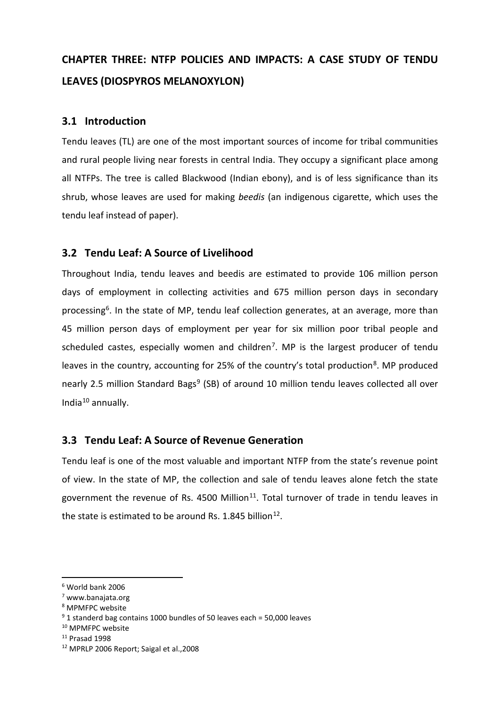# **CHAPTER THREE: NTFP POLICIES AND IMPACTS: A CASE STUDY OF TENDU LEAVES (DIOSPYROS MELANOXYLON)**

### **3.1 Introduction**

Tendu leaves (TL) are one of the most important sources of income for tribal communities and rural people living near forests in central India. They occupy a significant place among all NTFPs. The tree is called Blackwood (Indian ebony), and is of less significance than its shrub, whose leaves are used for making *beedis* (an indigenous cigarette, which uses the tendu leaf instead of paper).

### **3.2 Tendu Leaf: A Source of Livelihood**

Throughout India, tendu leaves and beedis are estimated to provide 106 million person days of employment in collecting activities and 675 million person days in secondary processing<sup>[6](#page-10-0)</sup>. In the state of MP, tendu leaf collection generates, at an average, more than 45 million person days of employment per year for six million poor tribal people and scheduled castes, especially women and children<sup>7</sup>. MP is the largest producer of tendu leaves in the country, accounting for 25% of the country's total production<sup>8</sup>. MP produced nearly 2.5 million Standard Bags<sup>9</sup> (SB) of around 10 million tendu leaves collected all over India[10](#page-10-4) annually.

### **3.3 Tendu Leaf: A Source of Revenue Generation**

Tendu leaf is one of the most valuable and important NTFP from the state's revenue point of view. In the state of MP, the collection and sale of tendu leaves alone fetch the state government the revenue of Rs. 4500 Million $^{11}$  $^{11}$  $^{11}$ . Total turnover of trade in tendu leaves in the state is estimated to be around Rs. 1.845 billion<sup>[12](#page-10-6)</sup>.

<span id="page-10-0"></span> <sup>6</sup> World bank 2006

<span id="page-10-1"></span><sup>7</sup> www.banajata.org

<span id="page-10-2"></span><sup>8</sup> MPMFPC website

<span id="page-10-3"></span><sup>9</sup> 1 standerd bag contains 1000 bundles of 50 leaves each = 50,000 leaves

<span id="page-10-4"></span><sup>&</sup>lt;sup>10</sup> MPMFPC website

<span id="page-10-5"></span><sup>11</sup> Prasad 1998

<span id="page-10-6"></span><sup>12</sup> MPRLP 2006 Report; Saigal et al.,2008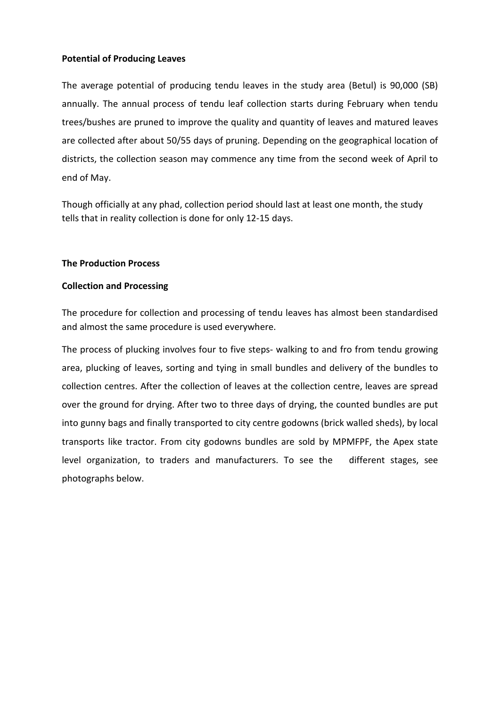### **Potential of Producing Leaves**

The average potential of producing tendu leaves in the study area (Betul) is 90,000 (SB) annually. The annual process of tendu leaf collection starts during February when tendu trees/bushes are pruned to improve the quality and quantity of leaves and matured leaves are collected after about 50/55 days of pruning. Depending on the geographical location of districts, the collection season may commence any time from the second week of April to end of May.

Though officially at any phad, collection period should last at least one month, the study tells that in reality collection is done for only 12-15 days.

#### **The Production Process**

#### **Collection and Processing**

The procedure for collection and processing of tendu leaves has almost been standardised and almost the same procedure is used everywhere.

The process of plucking involves four to five steps- walking to and fro from tendu growing area, plucking of leaves, sorting and tying in small bundles and delivery of the bundles to collection centres. After the collection of leaves at the collection centre, leaves are spread over the ground for drying. After two to three days of drying, the counted bundles are put into gunny bags and finally transported to city centre godowns (brick walled sheds), by local transports like tractor. From city godowns bundles are sold by MPMFPF, the Apex state level organization, to traders and manufacturers. To see the different stages, see photographs below.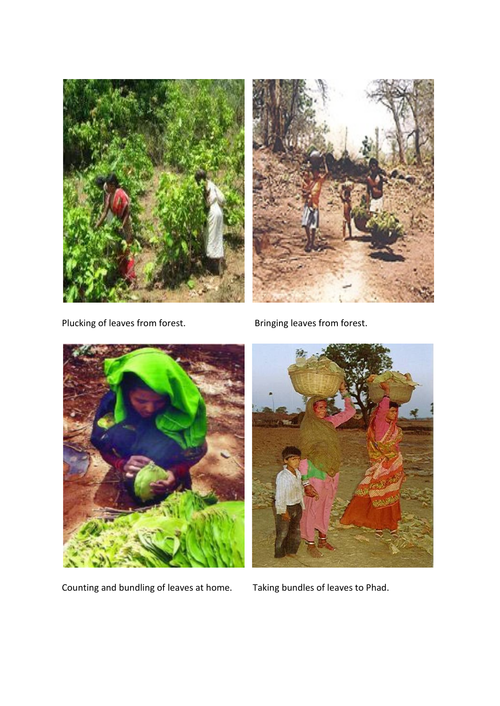



Plucking of leaves from forest. Bringing leaves from forest.



Counting and bundling of leaves at home. Taking bundles of leaves to Phad.

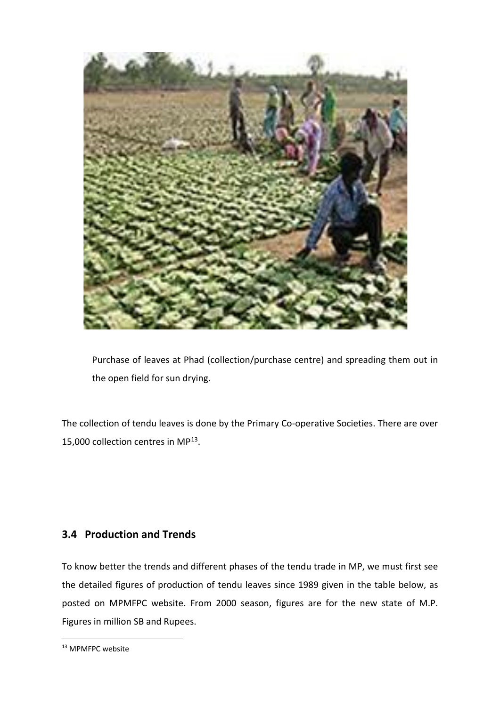

Purchase of leaves at Phad (collection/purchase centre) and spreading them out in the open field for sun drying.

The collection of tendu leaves is done by the Primary Co-operative Societies. There are over 15,000 collection centres in MP[13.](#page-13-0)

### **3.4 Production and Trends**

To know better the trends and different phases of the tendu trade in MP, we must first see the detailed figures of production of tendu leaves since 1989 given in the table below, as posted on MPMFPC website. From 2000 season, figures are for the new state of M.P. Figures in million SB and Rupees.

<span id="page-13-0"></span><sup>&</sup>lt;sup>13</sup> MPMFPC website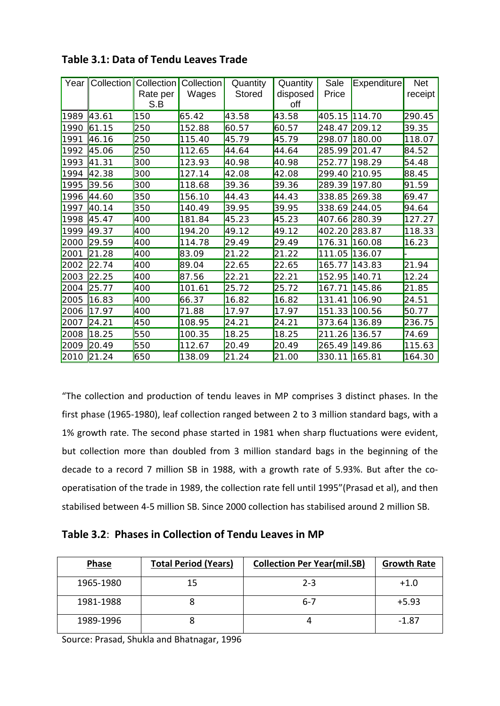|      | Year   Collection   Collection |                 | Collection | Quantity      | Quantity        | Sale          | Expenditure | <b>Net</b> |
|------|--------------------------------|-----------------|------------|---------------|-----------------|---------------|-------------|------------|
|      |                                | Rate per<br>S.B | Wages      | <b>Stored</b> | disposed<br>off | Price         |             | receipt    |
| 1989 | 43.61                          | 150             | 65.42      | 43.58         | 43.58           | 405.15        | 114.70      | 290.45     |
| 1990 | 61.15                          | 250             | 152.88     | 60.57         | 60.57           | 248.47        | 209.12      | 39.35      |
| 1991 | 46.16                          | 250             | 115.40     | 45.79         | 45.79           | 298.07        | 180.00      | 118.07     |
| 1992 | 45.06                          | 250             | 112.65     | 44.64         | 44.64           | 285.99 201.47 |             | 84.52      |
| 1993 | 41.31                          | 300             | 123.93     | 40.98         | 40.98           | 252.77        | 198.29      | 54.48      |
| 1994 | 42.38                          | 300             | 127.14     | 42.08         | 42.08           | 299.40 210.95 |             | 88.45      |
| 1995 | 39.56                          | 300             | 118.68     | 39.36         | 39.36           | 289.39 197.80 |             | 91.59      |
| 1996 | 44.60                          | 350             | 156.10     | 44.43         | 44.43           | 338.85 269.38 |             | 69.47      |
| 1997 | 40.14                          | 350             | 140.49     | 39.95         | 39.95           | 338.69 244.05 |             | 94.64      |
| 1998 | 45.47                          | 400             | 181.84     | 45.23         | 45.23           | 407.66 280.39 |             | 127.27     |
| 1999 | 49.37                          | 400             | 194.20     | 49.12         | 49.12           | 402.20        | 283.87      | 118.33     |
| 2000 | 29.59                          | 400             | 114.78     | 29.49         | 29.49           | 176.31        | 160.08      | 16.23      |
| 2001 | 21.28                          | 400             | 83.09      | 21.22         | 21.22           | 111.05        | 136.07      |            |
| 2002 | 22.74                          | 400             | 89.04      | 22.65         | 22.65           | 165.77        | 143.83      | 21.94      |
| 2003 | 22.25                          | 400             | 87.56      | 22.21         | 22.21           | 152.95        | 140.71      | 12.24      |
| 2004 | 25.77                          | 400             | 101.61     | 25.72         | 25.72           | 167.71        | 145.86      | 21.85      |
| 2005 | 16.83                          | 400             | 66.37      | 16.82         | 16.82           | 131.41        | 106.90      | 24.51      |
| 2006 | 17.97                          | 400             | 71.88      | 17.97         | 17.97           | 151.33 100.56 |             | 50.77      |
| 2007 | 24.21                          | 450             | 108.95     | 24.21         | 24.21           | 373.64        | 136.89      | 236.75     |
| 2008 | 18.25                          | 550             | 100.35     | 18.25         | 18.25           | 211.26        | 136.57      | 74.69      |
| 2009 | 20.49                          | 550             | 112.67     | 20.49         | 20.49           | 265.49        | 149.86      | 115.63     |
|      | 2010 21.24                     | 650             | 138.09     | 21.24         | 21.00           | 330.11 165.81 |             | 164.30     |

**Table 3.1: Data of Tendu Leaves Trade**

"The collection and production of tendu leaves in MP comprises 3 distinct phases. In the first phase (1965-1980), leaf collection ranged between 2 to 3 million standard bags, with a 1% growth rate. The second phase started in 1981 when sharp fluctuations were evident, but collection more than doubled from 3 million standard bags in the beginning of the decade to a record 7 million SB in 1988, with a growth rate of 5.93%. But after the cooperatisation of the trade in 1989, the collection rate fell until 1995"(Prasad et al), and then stabilised between 4-5 million SB. Since 2000 collection has stabilised around 2 million SB.

### **Table 3.2**: **Phases in Collection of Tendu Leaves in MP**

| <b>Phase</b> | <b>Total Period (Years)</b> | <b>Collection Per Year(mil.SB)</b> | <b>Growth Rate</b> |
|--------------|-----------------------------|------------------------------------|--------------------|
| 1965-1980    | 15                          | $2 - 3$                            | $+1.0$             |
| 1981-1988    |                             | $6 - 7$                            | $+5.93$            |
| 1989-1996    |                             |                                    | -1.87              |

Source: Prasad, Shukla and Bhatnagar, 1996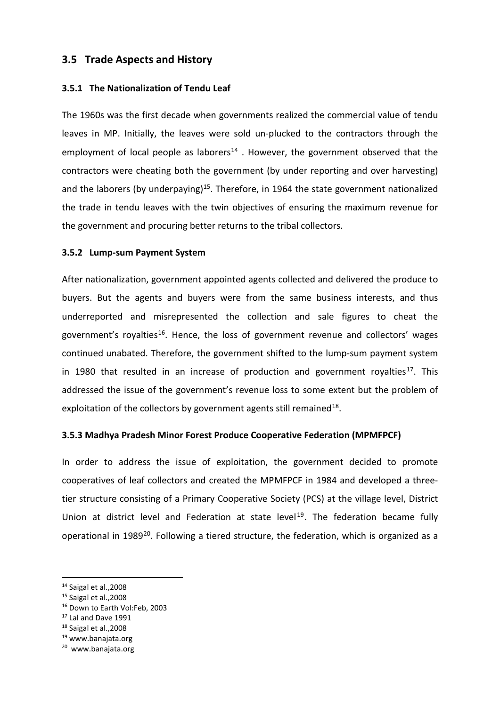### **3.5 Trade Aspects and History**

#### **3.5.1 The Nationalization of Tendu Leaf**

The 1960s was the first decade when governments realized the commercial value of tendu leaves in MP. Initially, the leaves were sold un-plucked to the contractors through the employment of local people as laborers<sup>[14](#page-15-0)</sup>. However, the government observed that the contractors were cheating both the government (by under reporting and over harvesting) and the laborers (by underpaying)<sup>15</sup>. Therefore, in 1964 the state government nationalized the trade in tendu leaves with the twin objectives of ensuring the maximum revenue for the government and procuring better returns to the tribal collectors.

#### **3.5.2 Lump-sum Payment System**

After nationalization, government appointed agents collected and delivered the produce to buyers. But the agents and buyers were from the same business interests, and thus underreported and misrepresented the collection and sale figures to cheat the government's royalties<sup>16</sup>. Hence, the loss of government revenue and collectors' wages continued unabated. Therefore, the government shifted to the lump-sum payment system in 1980 that resulted in an increase of production and government royalties<sup>[17](#page-15-3)</sup>. This addressed the issue of the government's revenue loss to some extent but the problem of exploitation of the collectors by government agents still remained<sup>18</sup>.

#### **3.5.3 Madhya Pradesh Minor Forest Produce Cooperative Federation (MPMFPCF)**

In order to address the issue of exploitation, the government decided to promote cooperatives of leaf collectors and created the MPMFPCF in 1984 and developed a threetier structure consisting of a Primary Cooperative Society (PCS) at the village level, District Union at district level and Federation at state level<sup>[19](#page-15-5)</sup>. The federation became fully operational in 1989<sup>[20](#page-15-6)</sup>. Following a tiered structure, the federation, which is organized as a

<span id="page-15-0"></span> <sup>14</sup> Saigal et al.,2008

<span id="page-15-1"></span><sup>15</sup> Saigal et al.,2008

<span id="page-15-2"></span><sup>16</sup> Down to Earth Vol:Feb, 2003

<span id="page-15-3"></span><sup>17</sup> Lal and Dave 1991

<span id="page-15-4"></span><sup>18</sup> Saigal et al.,2008

<span id="page-15-5"></span><sup>19</sup> www.banajata.org

<span id="page-15-6"></span><sup>20</sup> www.banajata.org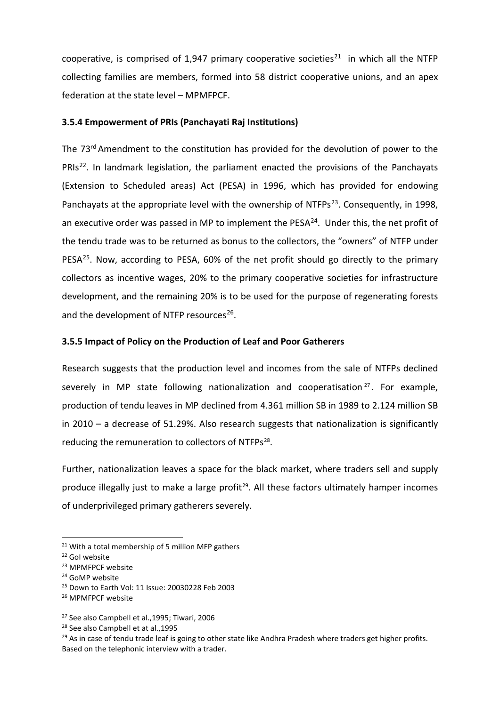cooperative, is comprised of 1,947 primary cooperative societies<sup>[21](#page-16-0)</sup> in which all the NTFP collecting families are members, formed into 58 district cooperative unions, and an apex federation at the state level – MPMFPCF.

#### **3.5.4 Empowerment of PRIs (Panchayati Raj Institutions)**

The 73<sup>rd</sup> Amendment to the constitution has provided for the devolution of power to the PRIs<sup>22</sup>. In landmark legislation, the parliament enacted the provisions of the Panchayats (Extension to Scheduled areas) Act (PESA) in 1996, which has provided for endowing Panchayats at the appropriate level with the ownership of NTFPs<sup>23</sup>. Consequently, in 1998, an executive order was passed in MP to implement the PESA $^{24}$  $^{24}$  $^{24}$ . Under this, the net profit of the tendu trade was to be returned as bonus to the collectors, the "owners" of NTFP under PESA<sup>25</sup>. Now, according to PESA, 60% of the net profit should go directly to the primary collectors as incentive wages, 20% to the primary cooperative societies for infrastructure development, and the remaining 20% is to be used for the purpose of regenerating forests and the development of NTFP resources<sup>[26](#page-16-5)</sup>.

### **3.5.5 Impact of Policy on the Production of Leaf and Poor Gatherers**

Research suggests that the production level and incomes from the sale of NTFPs declined severely in MP state following nationalization and cooperatisation<sup>[27](#page-16-6)</sup>. For example, production of tendu leaves in MP declined from 4.361 million SB in 1989 to 2.124 million SB in 2010 – a decrease of 51.29%. Also research suggests that nationalization is significantly reducing the remuneration to collectors of NTFPs<sup>[28](#page-16-7)</sup>.

Further, nationalization leaves a space for the black market, where traders sell and supply produce illegally just to make a large profit<sup>29</sup>. All these factors ultimately hamper incomes of underprivileged primary gatherers severely.

<span id="page-16-0"></span><sup>&</sup>lt;sup>21</sup> With a total membership of 5 million MFP gathers

<span id="page-16-2"></span><span id="page-16-1"></span><sup>&</sup>lt;sup>22</sup> Gol website<br><sup>23</sup> MPMFPCF website

<span id="page-16-3"></span><sup>24</sup> GoMP website

<span id="page-16-4"></span><sup>25</sup> Down to Earth Vol: 11 Issue: 20030228 Feb 2003

<span id="page-16-5"></span><sup>26</sup> MPMFPCF website

<span id="page-16-6"></span><sup>27</sup> See also Campbell et al.,1995; Tiwari, 2006

<span id="page-16-7"></span><sup>28</sup> See also Campbell et at al.,1995

<span id="page-16-8"></span><sup>&</sup>lt;sup>29</sup> As in case of tendu trade leaf is going to other state like Andhra Pradesh where traders get higher profits. Based on the telephonic interview with a trader.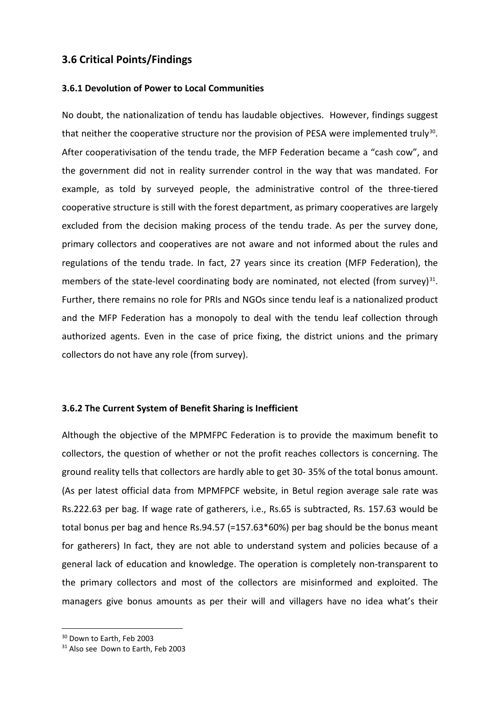### **3.6 Critical Points/Findings**

#### **3.6.1 Devolution of Power to Local Communities**

No doubt, the nationalization of tendu has laudable objectives. However, findings suggest that neither the cooperative structure nor the provision of PESA were implemented truly<sup>30</sup>. After cooperativisation of the tendu trade, the MFP Federation became a "cash cow", and the government did not in reality surrender control in the way that was mandated. For example, as told by surveyed people, the administrative control of the three-tiered cooperative structure is still with the forest department, as primary cooperatives are largely excluded from the decision making process of the tendu trade. As per the survey done, primary collectors and cooperatives are not aware and not informed about the rules and regulations of the tendu trade. In fact, 27 years since its creation (MFP Federation), the members of the state-level coordinating body are nominated, not elected (from survey) $31$ . Further, there remains no role for PRIs and NGOs since tendu leaf is a nationalized product and the MFP Federation has a monopoly to deal with the tendu leaf collection through authorized agents. Even in the case of price fixing, the district unions and the primary collectors do not have any role (from survey).

#### **3.6.2 The Current System of Benefit Sharing is Inefficient**

Although the objective of the MPMFPC Federation is to provide the maximum benefit to collectors, the question of whether or not the profit reaches collectors is concerning. The ground reality tells that collectors are hardly able to get 30- 35% of the total bonus amount. (As per latest official data from MPMFPCF website, in Betul region average sale rate was Rs.222.63 per bag. If wage rate of gatherers, i.e., Rs.65 is subtracted, Rs. 157.63 would be total bonus per bag and hence Rs.94.57 (=157.63\*60%) per bag should be the bonus meant for gatherers) In fact, they are not able to understand system and policies because of a general lack of education and knowledge. The operation is completely non-transparent to the primary collectors and most of the collectors are misinformed and exploited. The managers give bonus amounts as per their will and villagers have no idea what's their

<span id="page-17-0"></span><sup>&</sup>lt;sup>30</sup> Down to Earth, Feb 2003

<span id="page-17-1"></span><sup>&</sup>lt;sup>31</sup> Also see Down to Earth, Feb 2003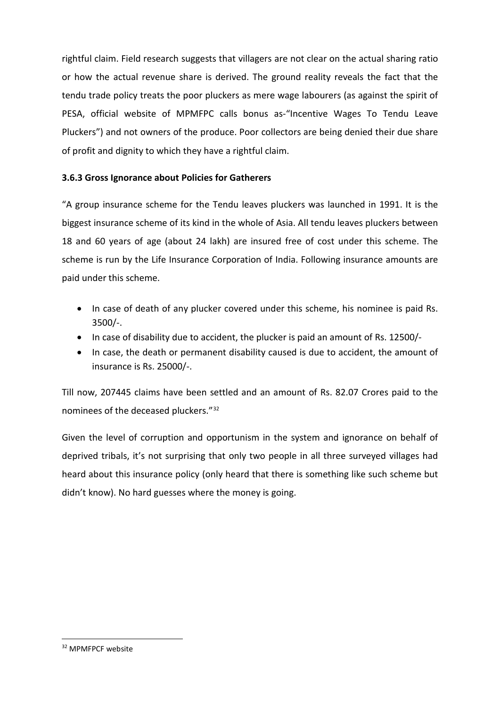rightful claim. Field research suggests that villagers are not clear on the actual sharing ratio or how the actual revenue share is derived. The ground reality reveals the fact that the tendu trade policy treats the poor pluckers as mere wage labourers (as against the spirit of PESA, official website of MPMFPC calls bonus as-"Incentive Wages To Tendu Leave Pluckers") and not owners of the produce. Poor collectors are being denied their due share of profit and dignity to which they have a rightful claim.

### **3.6.3 Gross Ignorance about Policies for Gatherers**

"A group insurance scheme for the Tendu leaves pluckers was launched in 1991. It is the biggest insurance scheme of its kind in the whole of Asia. All tendu leaves pluckers between 18 and 60 years of age (about 24 lakh) are insured free of cost under this scheme. The scheme is run by the Life Insurance Corporation of India. Following insurance amounts are paid under this scheme.

- In case of death of any plucker covered under this scheme, his nominee is paid Rs. 3500/-.
- In case of disability due to accident, the plucker is paid an amount of Rs. 12500/-
- In case, the death or permanent disability caused is due to accident, the amount of insurance is Rs. 25000/-.

Till now, 207445 claims have been settled and an amount of Rs. 82.07 Crores paid to the nominees of the deceased pluckers."[32](#page-18-0)

Given the level of corruption and opportunism in the system and ignorance on behalf of deprived tribals, it's not surprising that only two people in all three surveyed villages had heard about this insurance policy (only heard that there is something like such scheme but didn't know). No hard guesses where the money is going.

<span id="page-18-0"></span> <sup>32</sup> MPMFPCF website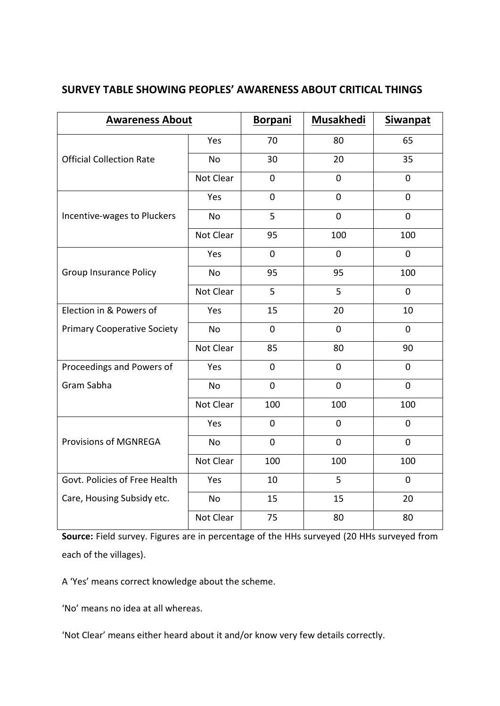| SURVEY TABLE SHOWING PEOPLES' AWARENESS ABOUT CRITICAL THINGS |  |
|---------------------------------------------------------------|--|
|---------------------------------------------------------------|--|

| <b>Awareness About</b>             |           | <b>Borpani</b> | <b>Musakhedi</b> | <b>Siwanpat</b> |
|------------------------------------|-----------|----------------|------------------|-----------------|
|                                    | Yes       | 70             | 80               | 65              |
| <b>Official Collection Rate</b>    | No        | 30             | 20               | 35              |
|                                    | Not Clear | $\overline{0}$ | $\overline{0}$   | $\overline{0}$  |
|                                    | Yes       | $\overline{0}$ | $\mathbf 0$      | $\mathbf 0$     |
| Incentive-wages to Pluckers        | <b>No</b> | 5              | 0                | $\overline{0}$  |
|                                    | Not Clear | 95             | 100              | 100             |
|                                    | Yes       | $\overline{0}$ | $\overline{0}$   | $\overline{0}$  |
| <b>Group Insurance Policy</b>      | <b>No</b> | 95             | 95               | 100             |
|                                    | Not Clear | 5              | 5                | $\mathbf 0$     |
| Election in & Powers of            | Yes       | 15             | 20               | 10              |
| <b>Primary Cooperative Society</b> | <b>No</b> | $\overline{0}$ | $\mathbf 0$      | $\mathbf 0$     |
|                                    | Not Clear | 85             | 80               | 90              |
| Proceedings and Powers of          | Yes       | $\mathbf 0$    | $\mathbf 0$      | $\mathbf 0$     |
| Gram Sabha                         | <b>No</b> | $\overline{0}$ | 0                | $\overline{0}$  |
|                                    | Not Clear | 100            | 100              | 100             |
|                                    | Yes       | $\overline{0}$ | $\overline{0}$   | $\overline{0}$  |
| <b>Provisions of MGNREGA</b>       | <b>No</b> | $\mathbf 0$    | $\mathbf 0$      | $\overline{0}$  |
|                                    | Not Clear | 100            | 100              | 100             |
| Govt. Policies of Free Health      | Yes       | 10             | 5                | $\mathbf 0$     |
| Care, Housing Subsidy etc.         | No        | 15             | 15               | 20              |
|                                    | Not Clear | 75             | 80               | 80              |

**Source:** Field survey. Figures are in percentage of the HHs surveyed (20 HHs surveyed from each of the villages).

A 'Yes' means correct knowledge about the scheme.

'No' means no idea at all whereas.

'Not Clear' means either heard about it and/or know very few details correctly.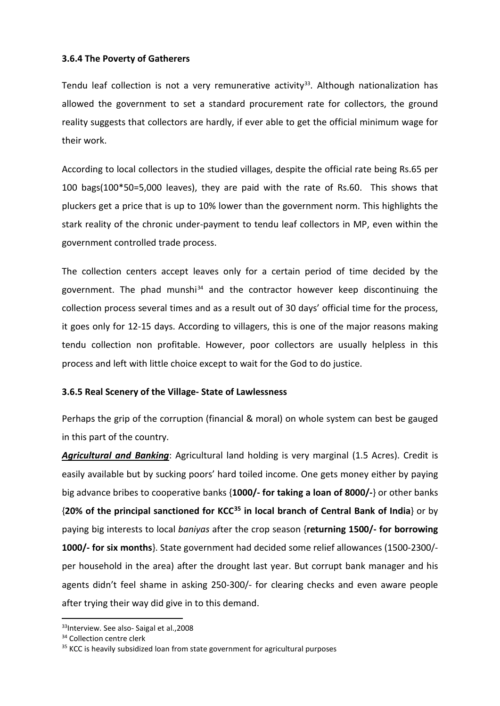### **3.6.4 The Poverty of Gatherers**

Tendu leaf collection is not a very remunerative activity<sup>33</sup>. Although nationalization has allowed the government to set a standard procurement rate for collectors, the ground reality suggests that collectors are hardly, if ever able to get the official minimum wage for their work.

According to local collectors in the studied villages, despite the official rate being Rs.65 per 100 bags(100\*50=5,000 leaves), they are paid with the rate of Rs.60. This shows that pluckers get a price that is up to 10% lower than the government norm. This highlights the stark reality of the chronic under-payment to tendu leaf collectors in MP, even within the government controlled trade process.

The collection centers accept leaves only for a certain period of time decided by the government. The phad munshi<sup>[34](#page-20-1)</sup> and the contractor however keep discontinuing the collection process several times and as a result out of 30 days' official time for the process, it goes only for 12-15 days. According to villagers, this is one of the major reasons making tendu collection non profitable. However, poor collectors are usually helpless in this process and left with little choice except to wait for the God to do justice.

#### **3.6.5 Real Scenery of the Village- State of Lawlessness**

Perhaps the grip of the corruption (financial & moral) on whole system can best be gauged in this part of the country.

*Agricultural and Banking*: Agricultural land holding is very marginal (1.5 Acres). Credit is easily available but by sucking poors' hard toiled income. One gets money either by paying big advance bribes to cooperative banks {**1000/- for taking a loan of 8000/-**} or other banks {**20% of the principal sanctioned for KCC[35](#page-20-2) in local branch of Central Bank of India**} or by paying big interests to local *baniyas* after the crop season {**returning 1500/- for borrowing 1000/- for six months**}. State government had decided some relief allowances (1500-2300/ per household in the area) after the drought last year. But corrupt bank manager and his agents didn't feel shame in asking 250-300/- for clearing checks and even aware people after trying their way did give in to this demand.

<span id="page-20-0"></span><sup>33</sup>Interview. See also- Saigal et al., 2008

<span id="page-20-1"></span><sup>&</sup>lt;sup>34</sup> Collection centre clerk

<span id="page-20-2"></span><sup>&</sup>lt;sup>35</sup> KCC is heavily subsidized loan from state government for agricultural purposes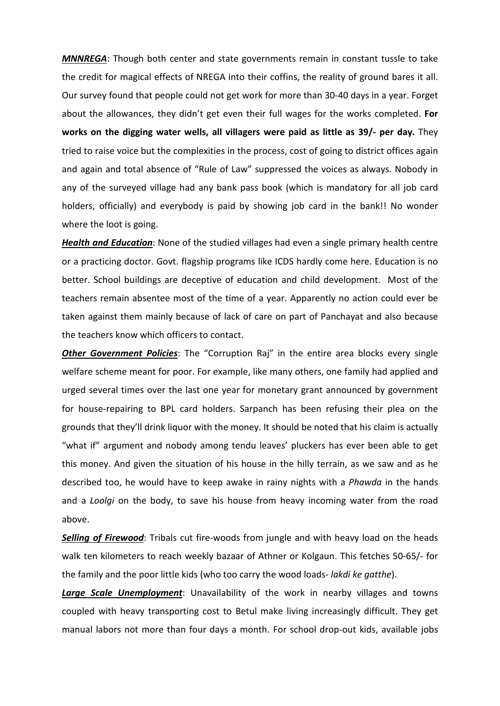*MNNREGA*: Though both center and state governments remain in constant tussle to take the credit for magical effects of NREGA into their coffins, the reality of ground bares it all. Our survey found that people could not get work for more than 30-40 days in a year. Forget about the allowances, they didn't get even their full wages for the works completed. **For works on the digging water wells, all villagers were paid as little as 39/- per day.** They tried to raise voice but the complexities in the process, cost of going to district offices again and again and total absence of "Rule of Law" suppressed the voices as always. Nobody in any of the surveyed village had any bank pass book (which is mandatory for all job card holders, officially) and everybody is paid by showing job card in the bank!! No wonder where the loot is going.

*Health and Education*: None of the studied villages had even a single primary health centre or a practicing doctor. Govt. flagship programs like ICDS hardly come here. Education is no better. School buildings are deceptive of education and child development. Most of the teachers remain absentee most of the time of a year. Apparently no action could ever be taken against them mainly because of lack of care on part of Panchayat and also because the teachers know which officers to contact.

**Other Government Policies**: The "Corruption Raj" in the entire area blocks every single welfare scheme meant for poor. For example, like many others, one family had applied and urged several times over the last one year for monetary grant announced by government for house-repairing to BPL card holders. Sarpanch has been refusing their plea on the grounds that they'll drink liquor with the money. It should be noted that his claim is actually "what if" argument and nobody among tendu leaves' pluckers has ever been able to get this money. And given the situation of his house in the hilly terrain, as we saw and as he described too, he would have to keep awake in rainy nights with a *Phawda* in the hands and a *Loolgi* on the body, to save his house from heavy incoming water from the road above.

**Selling of Firewood**: Tribals cut fire-woods from jungle and with heavy load on the heads walk ten kilometers to reach weekly bazaar of Athner or Kolgaun. This fetches 50-65/- for the family and the poor little kids (who too carry the wood loads- *lakdi ke gatthe*).

*Large Scale Unemployment*: Unavailability of the work in nearby villages and towns coupled with heavy transporting cost to Betul make living increasingly difficult. They get manual labors not more than four days a month. For school drop-out kids, available jobs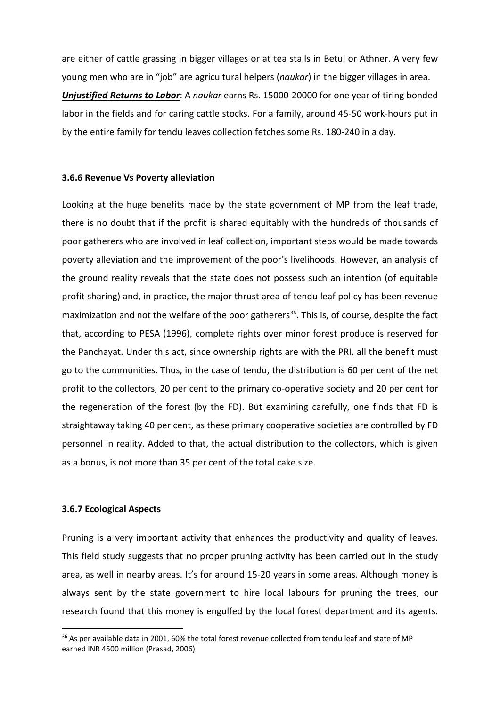are either of cattle grassing in bigger villages or at tea stalls in Betul or Athner. A very few young men who are in "job" are agricultural helpers (*naukar*) in the bigger villages in area. *Unjustified Returns to Labor*: A *naukar* earns Rs. 15000-20000 for one year of tiring bonded labor in the fields and for caring cattle stocks. For a family, around 45-50 work-hours put in by the entire family for tendu leaves collection fetches some Rs. 180-240 in a day.

#### **3.6.6 Revenue Vs Poverty alleviation**

Looking at the huge benefits made by the state government of MP from the leaf trade, there is no doubt that if the profit is shared equitably with the hundreds of thousands of poor gatherers who are involved in leaf collection, important steps would be made towards poverty alleviation and the improvement of the poor's livelihoods. However, an analysis of the ground reality reveals that the state does not possess such an intention (of equitable profit sharing) and, in practice, the major thrust area of tendu leaf policy has been revenue maximization and not the welfare of the poor gatherers<sup>36</sup>. This is, of course, despite the fact that, according to PESA (1996), complete rights over minor forest produce is reserved for the Panchayat. Under this act, since ownership rights are with the PRI, all the benefit must go to the communities. Thus, in the case of tendu, the distribution is 60 per cent of the net profit to the collectors, 20 per cent to the primary co-operative society and 20 per cent for the regeneration of the forest (by the FD). But examining carefully, one finds that FD is straightaway taking 40 per cent, as these primary cooperative societies are controlled by FD personnel in reality. Added to that, the actual distribution to the collectors, which is given as a bonus, is not more than 35 per cent of the total cake size.

#### **3.6.7 Ecological Aspects**

Pruning is a very important activity that enhances the productivity and quality of leaves. This field study suggests that no proper pruning activity has been carried out in the study area, as well in nearby areas. It's for around 15-20 years in some areas. Although money is always sent by the state government to hire local labours for pruning the trees, our research found that this money is engulfed by the local forest department and its agents.

<span id="page-22-0"></span><sup>&</sup>lt;sup>36</sup> As per available data in 2001, 60% the total forest revenue collected from tendu leaf and state of MP earned INR 4500 million (Prasad, 2006)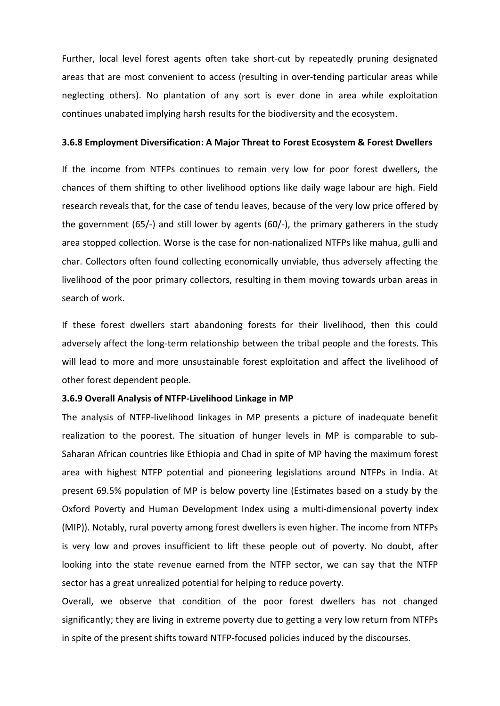Further, local level forest agents often take short-cut by repeatedly pruning designated areas that are most convenient to access (resulting in over-tending particular areas while neglecting others). No plantation of any sort is ever done in area while exploitation continues unabated implying harsh results for the biodiversity and the ecosystem.

#### **3.6.8 Employment Diversification: A Major Threat to Forest Ecosystem & Forest Dwellers**

If the income from NTFPs continues to remain very low for poor forest dwellers, the chances of them shifting to other livelihood options like daily wage labour are high. Field research reveals that, for the case of tendu leaves, because of the very low price offered by the government (65/-) and still lower by agents (60/-), the primary gatherers in the study area stopped collection. Worse is the case for non-nationalized NTFPs like mahua, gulli and char. Collectors often found collecting economically unviable, thus adversely affecting the livelihood of the poor primary collectors, resulting in them moving towards urban areas in search of work.

If these forest dwellers start abandoning forests for their livelihood, then this could adversely affect the long-term relationship between the tribal people and the forests. This will lead to more and more unsustainable forest exploitation and affect the livelihood of other forest dependent people.

#### **3.6.9 Overall Analysis of NTFP-Livelihood Linkage in MP**

The analysis of NTFP-livelihood linkages in MP presents a picture of inadequate benefit realization to the poorest. The situation of hunger levels in MP is comparable to sub-Saharan African countries like Ethiopia and Chad in spite of MP having the maximum forest area with highest NTFP potential and pioneering legislations around NTFPs in India. At present 69.5% population of MP is below poverty line (Estimates based on a study by the Oxford Poverty and Human Development Index using a multi-dimensional poverty index (MIP)). Notably, rural poverty among forest dwellers is even higher. The income from NTFPs is very low and proves insufficient to lift these people out of poverty. No doubt, after looking into the state revenue earned from the NTFP sector, we can say that the NTFP sector has a great unrealized potential for helping to reduce poverty.

Overall, we observe that condition of the poor forest dwellers has not changed significantly; they are living in extreme poverty due to getting a very low return from NTFPs in spite of the present shifts toward NTFP-focused policies induced by the discourses.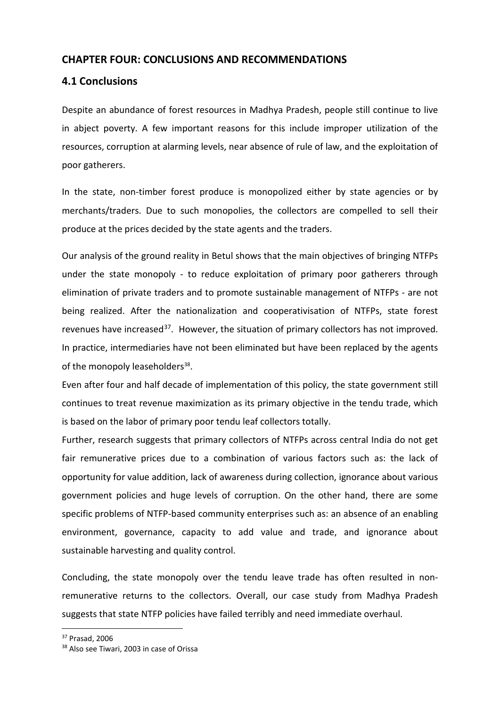### **CHAPTER FOUR: CONCLUSIONS AND RECOMMENDATIONS**

### **4.1 Conclusions**

Despite an abundance of forest resources in Madhya Pradesh, people still continue to live in abject poverty. A few important reasons for this include improper utilization of the resources, corruption at alarming levels, near absence of rule of law, and the exploitation of poor gatherers.

In the state, non-timber forest produce is monopolized either by state agencies or by merchants/traders. Due to such monopolies, the collectors are compelled to sell their produce at the prices decided by the state agents and the traders.

Our analysis of the ground reality in Betul shows that the main objectives of bringing NTFPs under the state monopoly - to reduce exploitation of primary poor gatherers through elimination of private traders and to promote sustainable management of NTFPs - are not being realized. After the nationalization and cooperativisation of NTFPs, state forest revenues have increased<sup>37</sup>. However, the situation of primary collectors has not improved. In practice, intermediaries have not been eliminated but have been replaced by the agents of the monopoly leaseholders<sup>38</sup>.

Even after four and half decade of implementation of this policy, the state government still continues to treat revenue maximization as its primary objective in the tendu trade, which is based on the labor of primary poor tendu leaf collectors totally.

Further, research suggests that primary collectors of NTFPs across central India do not get fair remunerative prices due to a combination of various factors such as: the lack of opportunity for value addition, lack of awareness during collection, ignorance about various government policies and huge levels of corruption. On the other hand, there are some specific problems of NTFP-based community enterprises such as: an absence of an enabling environment, governance, capacity to add value and trade, and ignorance about sustainable harvesting and quality control.

Concluding, the state monopoly over the tendu leave trade has often resulted in nonremunerative returns to the collectors. Overall, our case study from Madhya Pradesh suggests that state NTFP policies have failed terribly and need immediate overhaul.

<span id="page-24-0"></span> <sup>37</sup> Prasad, 2006

<span id="page-24-1"></span><sup>&</sup>lt;sup>38</sup> Also see Tiwari, 2003 in case of Orissa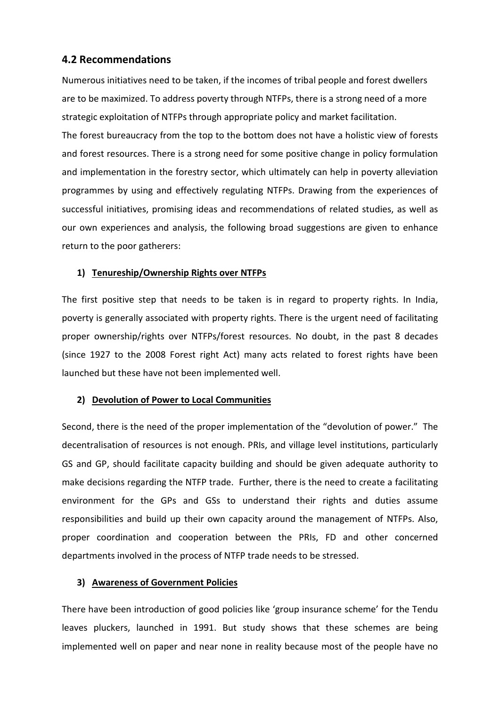### **4.2 Recommendations**

Numerous initiatives need to be taken, if the incomes of tribal people and forest dwellers are to be maximized. To address poverty through NTFPs, there is a strong need of a more strategic exploitation of NTFPs through appropriate policy and market facilitation.

The forest bureaucracy from the top to the bottom does not have a holistic view of forests and forest resources. There is a strong need for some positive change in policy formulation and implementation in the forestry sector, which ultimately can help in poverty alleviation programmes by using and effectively regulating NTFPs. Drawing from the experiences of successful initiatives, promising ideas and recommendations of related studies, as well as our own experiences and analysis, the following broad suggestions are given to enhance return to the poor gatherers:

### **1) Tenureship/Ownership Rights over NTFPs**

The first positive step that needs to be taken is in regard to property rights. In India, poverty is generally associated with property rights. There is the urgent need of facilitating proper ownership/rights over NTFPs/forest resources. No doubt, in the past 8 decades (since 1927 to the 2008 Forest right Act) many acts related to forest rights have been launched but these have not been implemented well.

#### **2) Devolution of Power to Local Communities**

Second, there is the need of the proper implementation of the "devolution of power." The decentralisation of resources is not enough. PRIs, and village level institutions, particularly GS and GP, should facilitate capacity building and should be given adequate authority to make decisions regarding the NTFP trade. Further, there is the need to create a facilitating environment for the GPs and GSs to understand their rights and duties assume responsibilities and build up their own capacity around the management of NTFPs. Also, proper coordination and cooperation between the PRIs, FD and other concerned departments involved in the process of NTFP trade needs to be stressed.

#### **3) Awareness of Government Policies**

There have been introduction of good policies like 'group insurance scheme' for the Tendu leaves pluckers, launched in 1991. But study shows that these schemes are being implemented well on paper and near none in reality because most of the people have no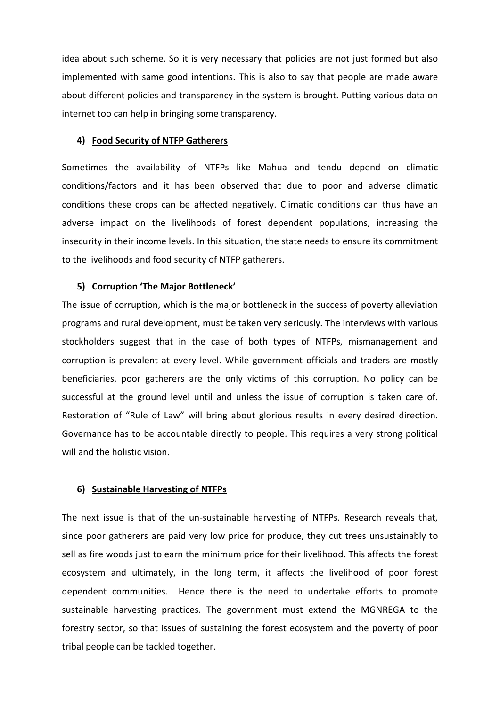idea about such scheme. So it is very necessary that policies are not just formed but also implemented with same good intentions. This is also to say that people are made aware about different policies and transparency in the system is brought. Putting various data on internet too can help in bringing some transparency.

#### **4) Food Security of NTFP Gatherers**

Sometimes the availability of NTFPs like Mahua and tendu depend on climatic conditions/factors and it has been observed that due to poor and adverse climatic conditions these crops can be affected negatively. Climatic conditions can thus have an adverse impact on the livelihoods of forest dependent populations, increasing the insecurity in their income levels. In this situation, the state needs to ensure its commitment to the livelihoods and food security of NTFP gatherers.

#### **5) Corruption 'The Major Bottleneck'**

The issue of corruption, which is the major bottleneck in the success of poverty alleviation programs and rural development, must be taken very seriously. The interviews with various stockholders suggest that in the case of both types of NTFPs, mismanagement and corruption is prevalent at every level. While government officials and traders are mostly beneficiaries, poor gatherers are the only victims of this corruption. No policy can be successful at the ground level until and unless the issue of corruption is taken care of. Restoration of "Rule of Law" will bring about glorious results in every desired direction. Governance has to be accountable directly to people. This requires a very strong political will and the holistic vision.

#### **6) Sustainable Harvesting of NTFPs**

The next issue is that of the un-sustainable harvesting of NTFPs. Research reveals that, since poor gatherers are paid very low price for produce, they cut trees unsustainably to sell as fire woods just to earn the minimum price for their livelihood. This affects the forest ecosystem and ultimately, in the long term, it affects the livelihood of poor forest dependent communities. Hence there is the need to undertake efforts to promote sustainable harvesting practices. The government must extend the MGNREGA to the forestry sector, so that issues of sustaining the forest ecosystem and the poverty of poor tribal people can be tackled together.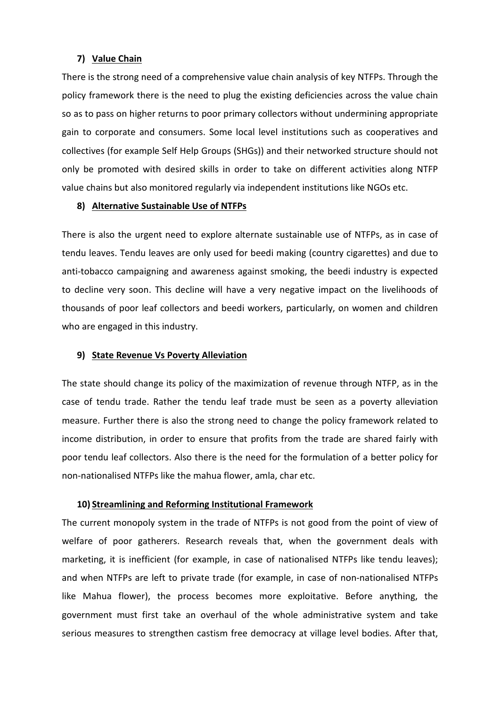#### **7) Value Chain**

There is the strong need of a comprehensive value chain analysis of key NTFPs. Through the policy framework there is the need to plug the existing deficiencies across the value chain so as to pass on higher returns to poor primary collectors without undermining appropriate gain to corporate and consumers. Some local level institutions such as cooperatives and collectives (for example Self Help Groups (SHGs)) and their networked structure should not only be promoted with desired skills in order to take on different activities along NTFP value chains but also monitored regularly via independent institutions like NGOs etc.

#### **8) Alternative Sustainable Use of NTFPs**

There is also the urgent need to explore alternate sustainable use of NTFPs, as in case of tendu leaves. Tendu leaves are only used for beedi making (country cigarettes) and due to anti-tobacco campaigning and awareness against smoking, the beedi industry is expected to decline very soon. This decline will have a very negative impact on the livelihoods of thousands of poor leaf collectors and beedi workers, particularly, on women and children who are engaged in this industry.

#### **9) State Revenue Vs Poverty Alleviation**

The state should change its policy of the maximization of revenue through NTFP, as in the case of tendu trade. Rather the tendu leaf trade must be seen as a poverty alleviation measure. Further there is also the strong need to change the policy framework related to income distribution, in order to ensure that profits from the trade are shared fairly with poor tendu leaf collectors. Also there is the need for the formulation of a better policy for non-nationalised NTFPs like the mahua flower, amla, char etc.

#### **10) Streamlining and Reforming Institutional Framework**

The current monopoly system in the trade of NTFPs is not good from the point of view of welfare of poor gatherers. Research reveals that, when the government deals with marketing, it is inefficient (for example, in case of nationalised NTFPs like tendu leaves); and when NTFPs are left to private trade (for example, in case of non-nationalised NTFPs like Mahua flower), the process becomes more exploitative. Before anything, the government must first take an overhaul of the whole administrative system and take serious measures to strengthen castism free democracy at village level bodies. After that,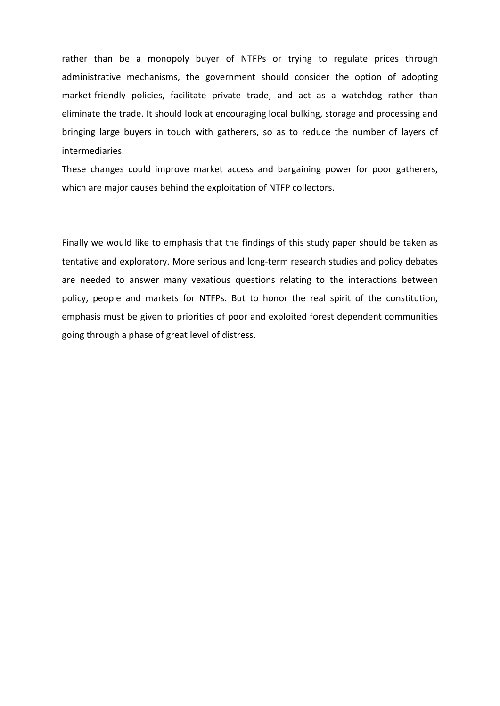rather than be a monopoly buyer of NTFPs or trying to regulate prices through administrative mechanisms, the government should consider the option of adopting market-friendly policies, facilitate private trade, and act as a watchdog rather than eliminate the trade. It should look at encouraging local bulking, storage and processing and bringing large buyers in touch with gatherers, so as to reduce the number of layers of intermediaries.

These changes could improve market access and bargaining power for poor gatherers, which are major causes behind the exploitation of NTFP collectors.

Finally we would like to emphasis that the findings of this study paper should be taken as tentative and exploratory. More serious and long-term research studies and policy debates are needed to answer many vexatious questions relating to the interactions between policy, people and markets for NTFPs. But to honor the real spirit of the constitution, emphasis must be given to priorities of poor and exploited forest dependent communities going through a phase of great level of distress.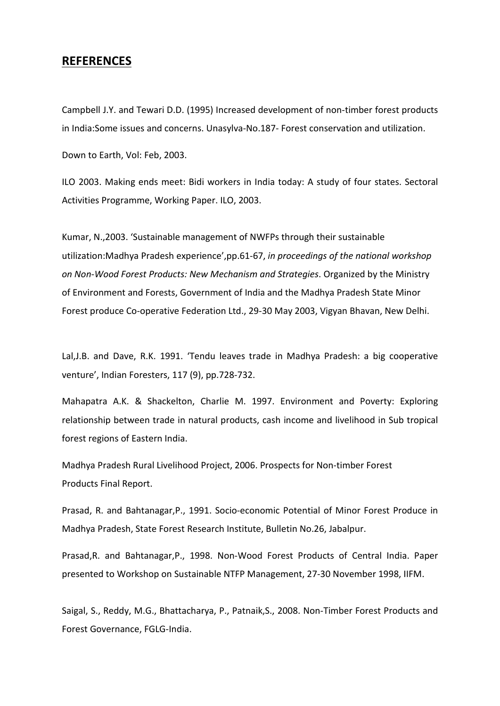### **REFERENCES**

Campbell J.Y. and Tewari D.D. (1995) Increased development of non-timber forest products in India:Some issues and concerns. Unasylva-No.187- Forest conservation and utilization.

Down to Earth, Vol: Feb, 2003.

ILO 2003. Making ends meet: Bidi workers in India today: A study of four states. Sectoral Activities Programme, Working Paper. ILO, 2003.

Kumar, N.,2003. 'Sustainable management of NWFPs through their sustainable utilization:Madhya Pradesh experience',pp.61-67, *in proceedings of the national workshop on Non-Wood Forest Products: New Mechanism and Strategies*. Organized by the Ministry of Environment and Forests, Government of India and the Madhya Pradesh State Minor Forest produce Co-operative Federation Ltd., 29-30 May 2003, Vigyan Bhavan, New Delhi.

Lal,J.B. and Dave, R.K. 1991. 'Tendu leaves trade in Madhya Pradesh: a big cooperative venture', Indian Foresters, 117 (9), pp.728-732.

Mahapatra A.K. & Shackelton, Charlie M. 1997. Environment and Poverty: Exploring relationship between trade in natural products, cash income and livelihood in Sub tropical forest regions of Eastern India.

Madhya Pradesh Rural Livelihood Project, 2006. Prospects for Non-timber Forest Products Final Report.

Prasad, R. and Bahtanagar,P., 1991. Socio-economic Potential of Minor Forest Produce in Madhya Pradesh, State Forest Research Institute, Bulletin No.26, Jabalpur.

Prasad,R. and Bahtanagar,P., 1998. Non-Wood Forest Products of Central India. Paper presented to Workshop on Sustainable NTFP Management, 27-30 November 1998, IIFM.

Saigal, S., Reddy, M.G., Bhattacharya, P., Patnaik,S., 2008. Non-Timber Forest Products and Forest Governance, FGLG-India.